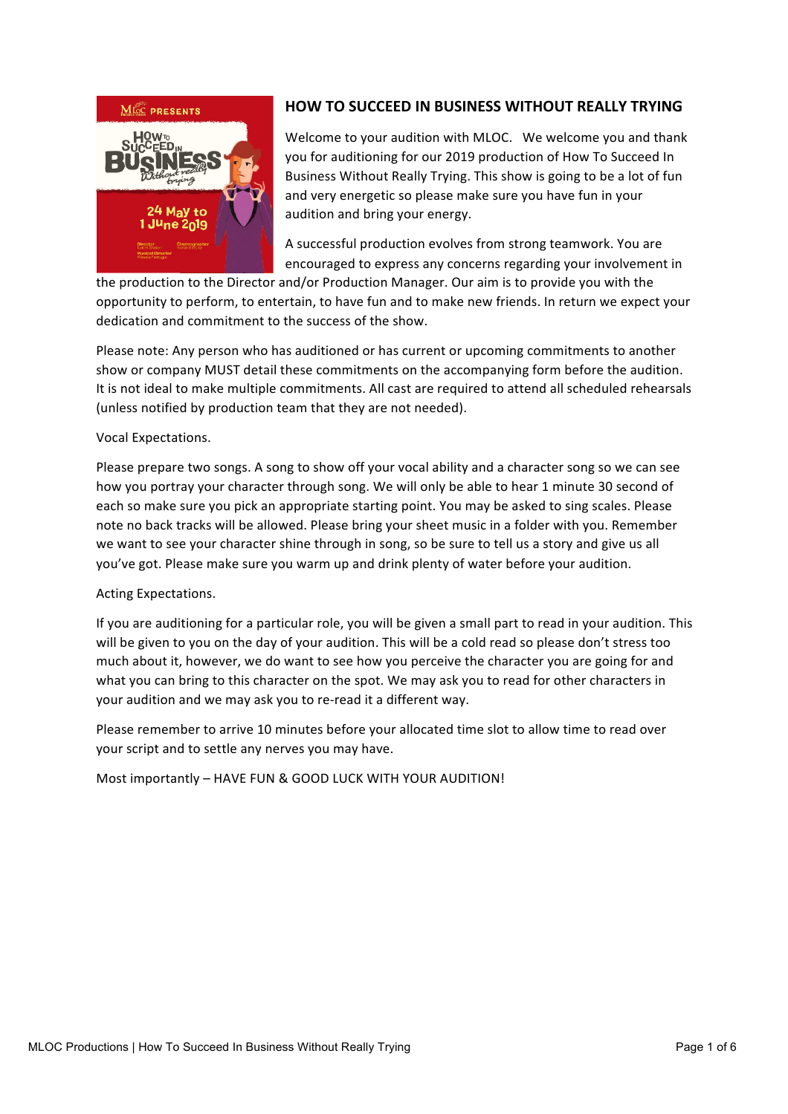

# **HOW TO SUCCEED IN BUSINESS WITHOUT REALLY TRYING**

Welcome to your audition with MLOC. We welcome you and thank you for auditioning for our 2019 production of How To Succeed In Business Without Really Trying. This show is going to be a lot of fun and very energetic so please make sure you have fun in your audition and bring your energy.

A successful production evolves from strong teamwork. You are encouraged to express any concerns regarding your involvement in

the production to the Director and/or Production Manager. Our aim is to provide you with the opportunity to perform, to entertain, to have fun and to make new friends. In return we expect your dedication and commitment to the success of the show.

Please note: Any person who has auditioned or has current or upcoming commitments to another show or company MUST detail these commitments on the accompanying form before the audition. It is not ideal to make multiple commitments. All cast are required to attend all scheduled rehearsals (unless notified by production team that they are not needed).

### Vocal Expectations.

Please prepare two songs. A song to show off your vocal ability and a character song so we can see how you portray your character through song. We will only be able to hear 1 minute 30 second of each so make sure you pick an appropriate starting point. You may be asked to sing scales. Please note no back tracks will be allowed. Please bring your sheet music in a folder with you. Remember we want to see your character shine through in song, so be sure to tell us a story and give us all you've got. Please make sure you warm up and drink plenty of water before your audition.

### Acting Expectations.

If you are auditioning for a particular role, you will be given a small part to read in your audition. This will be given to you on the day of your audition. This will be a cold read so please don't stress too much about it, however, we do want to see how you perceive the character you are going for and what you can bring to this character on the spot. We may ask you to read for other characters in your audition and we may ask you to re-read it a different way.

Please remember to arrive 10 minutes before your allocated time slot to allow time to read over your script and to settle any nerves you may have.

Most importantly – HAVE FUN & GOOD LUCK WITH YOUR AUDITION!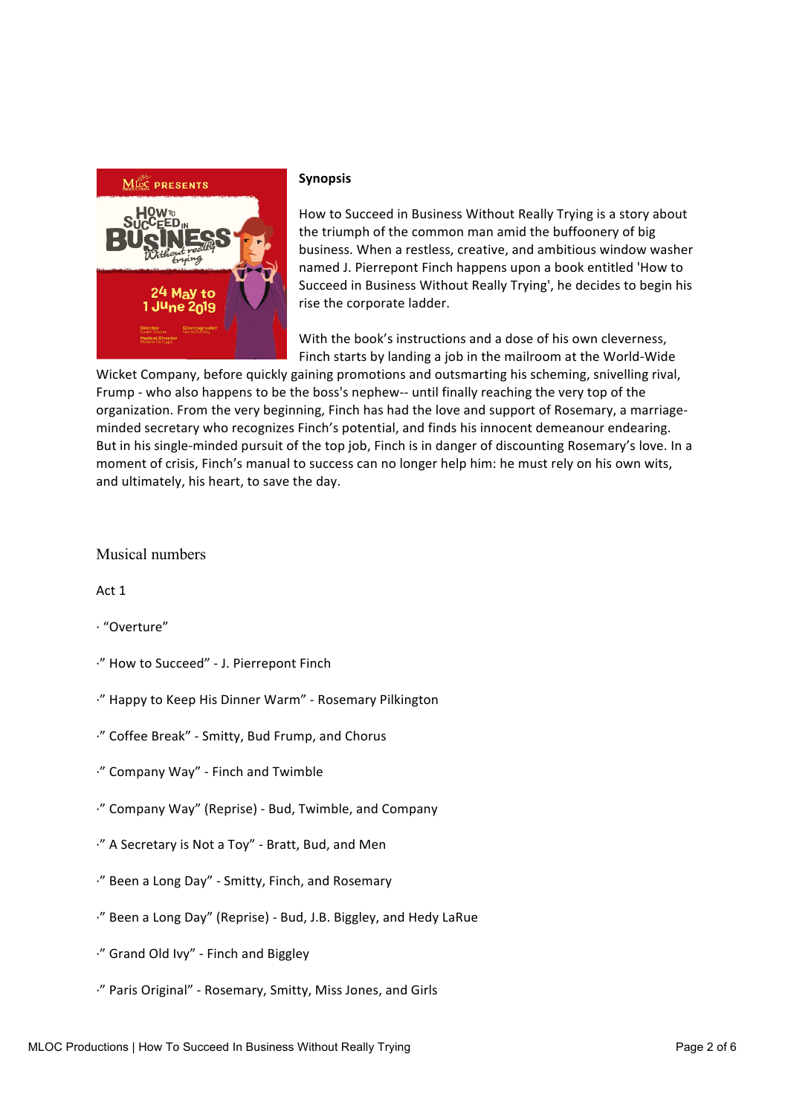

#### **Synopsis**

How to Succeed in Business Without Really Trying is a story about the triumph of the common man amid the buffoonery of big business. When a restless, creative, and ambitious window washer named J. Pierrepont Finch happens upon a book entitled 'How to Succeed in Business Without Really Trying', he decides to begin his rise the corporate ladder.

With the book's instructions and a dose of his own cleverness. Finch starts by landing a job in the mailroom at the World-Wide

Wicket Company, before quickly gaining promotions and outsmarting his scheming, snivelling rival, Frump - who also happens to be the boss's nephew-- until finally reaching the very top of the organization. From the very beginning, Finch has had the love and support of Rosemary, a marriageminded secretary who recognizes Finch's potential, and finds his innocent demeanour endearing. But in his single-minded pursuit of the top job, Finch is in danger of discounting Rosemary's love. In a moment of crisis, Finch's manual to success can no longer help him: he must rely on his own wits, and ultimately, his heart, to save the day.

## Musical numbers

Act 1

- · "Overture"
- ·" How to Succeed" - J. Pierrepont Finch
- ·" Happy to Keep His Dinner Warm" - Rosemary Pilkington
- ·" Coffee Break" - Smitty, Bud Frump, and Chorus
- ·" Company Way" - Finch and Twimble
- ·" Company Way" (Reprise) - Bud, Twimble, and Company
- ·" A Secretary is Not a Toy" - Bratt, Bud, and Men
- ·" Been a Long Day" - Smitty, Finch, and Rosemary
- ·" Been a Long Day" (Reprise) - Bud, J.B. Biggley, and Hedy LaRue
- ·" Grand Old Ivy" - Finch and Biggley
- ·" Paris Original" - Rosemary, Smitty, Miss Jones, and Girls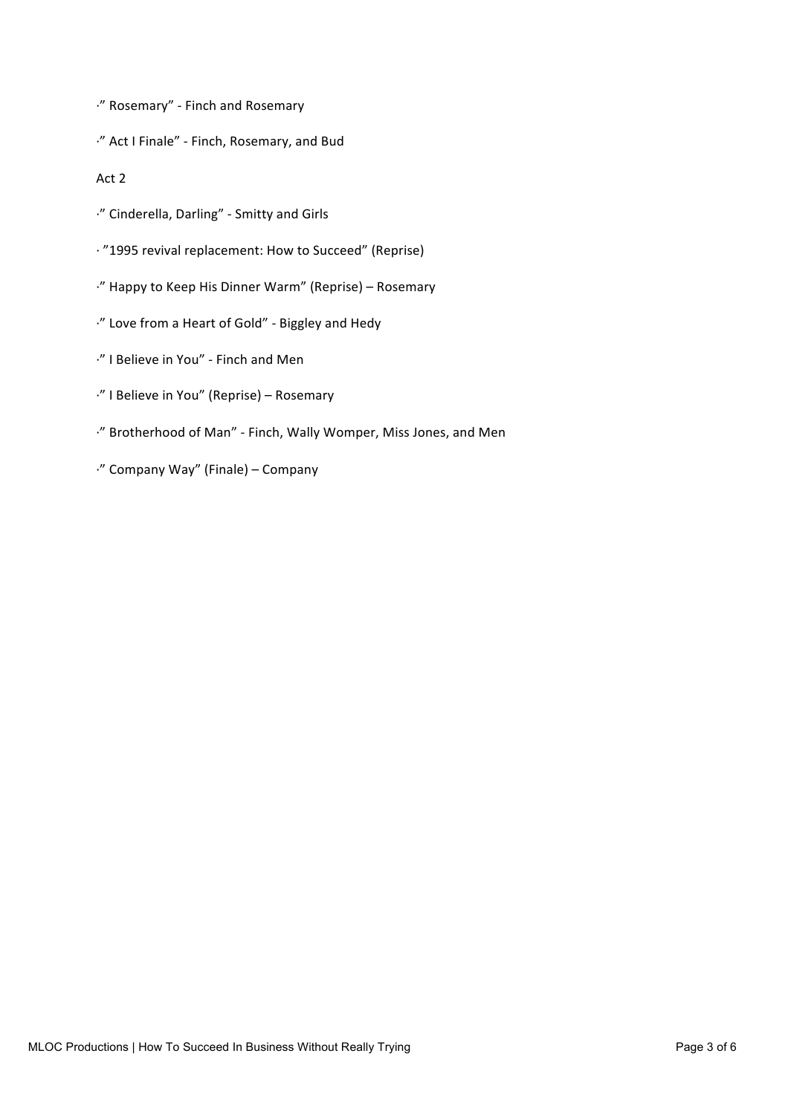·" Rosemary" - Finch and Rosemary

·" Act I Finale" - Finch, Rosemary, and Bud

Act 2

- ·" Cinderella, Darling" - Smitty and Girls
- · "1995 revival replacement: How to Succeed" (Reprise)
- ·" Happy to Keep His Dinner Warm" (Reprise) – Rosemary
- ·" Love from a Heart of Gold" - Biggley and Hedy
- ·" I Believe in You" - Finch and Men
- ·" I Believe in You" (Reprise) – Rosemary
- ·" Brotherhood of Man" - Finch, Wally Womper, Miss Jones, and Men
- ·" Company Way" (Finale) – Company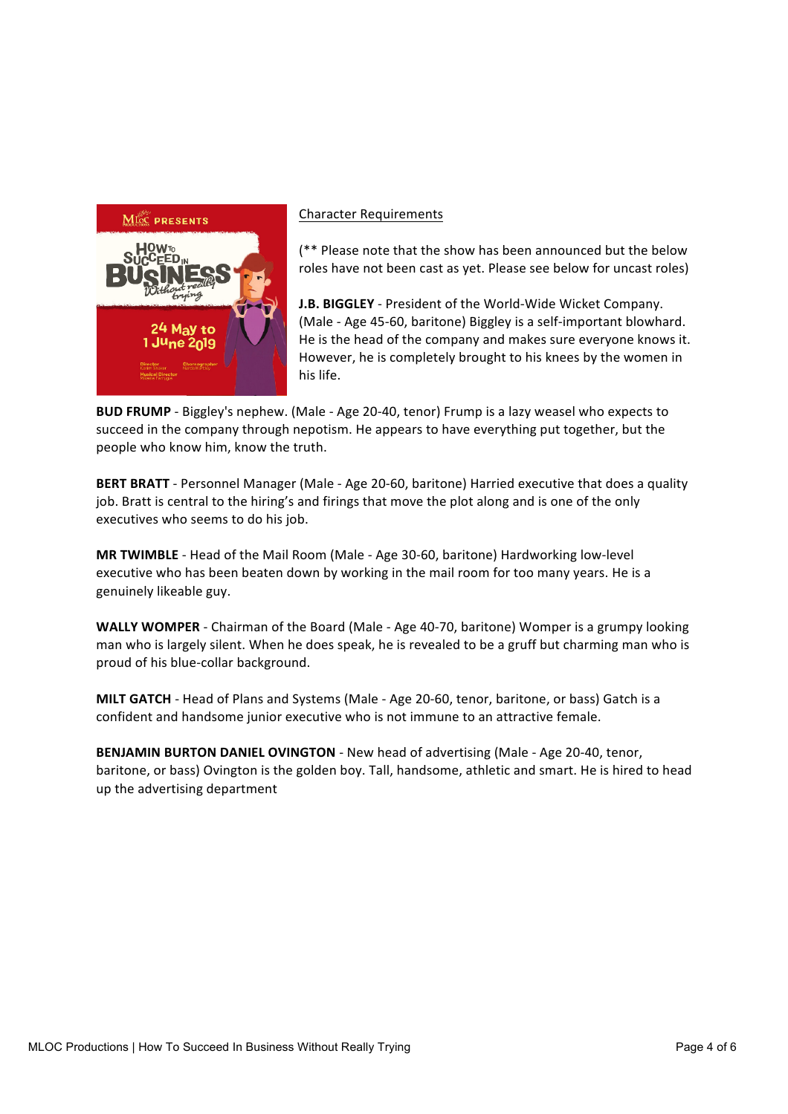

#### Character Requirements

 $(*\ast$  Please note that the show has been announced but the below roles have not been cast as yet. Please see below for uncast roles)

**J.B. BIGGLEY** - President of the World-Wide Wicket Company. (Male - Age 45-60, baritone) Biggley is a self-important blowhard. He is the head of the company and makes sure everyone knows it. However, he is completely brought to his knees by the women in his life.

**BUD FRUMP** - Biggley's nephew. (Male - Age 20-40, tenor) Frump is a lazy weasel who expects to succeed in the company through nepotism. He appears to have everything put together, but the people who know him, know the truth.

BERT BRATT - Personnel Manager (Male - Age 20-60, baritone) Harried executive that does a quality job. Bratt is central to the hiring's and firings that move the plot along and is one of the only executives who seems to do his job.

**MR TWIMBLE** - Head of the Mail Room (Male - Age 30-60, baritone) Hardworking low-level executive who has been beaten down by working in the mail room for too many years. He is a genuinely likeable guy.

**WALLY WOMPER** - Chairman of the Board (Male - Age 40-70, baritone) Womper is a grumpy looking man who is largely silent. When he does speak, he is revealed to be a gruff but charming man who is proud of his blue-collar background.

**MILT GATCH** - Head of Plans and Systems (Male - Age 20-60, tenor, baritone, or bass) Gatch is a confident and handsome junior executive who is not immune to an attractive female.

**BENJAMIN BURTON DANIEL OVINGTON** - New head of advertising (Male - Age 20-40, tenor, baritone, or bass) Ovington is the golden boy. Tall, handsome, athletic and smart. He is hired to head up the advertising department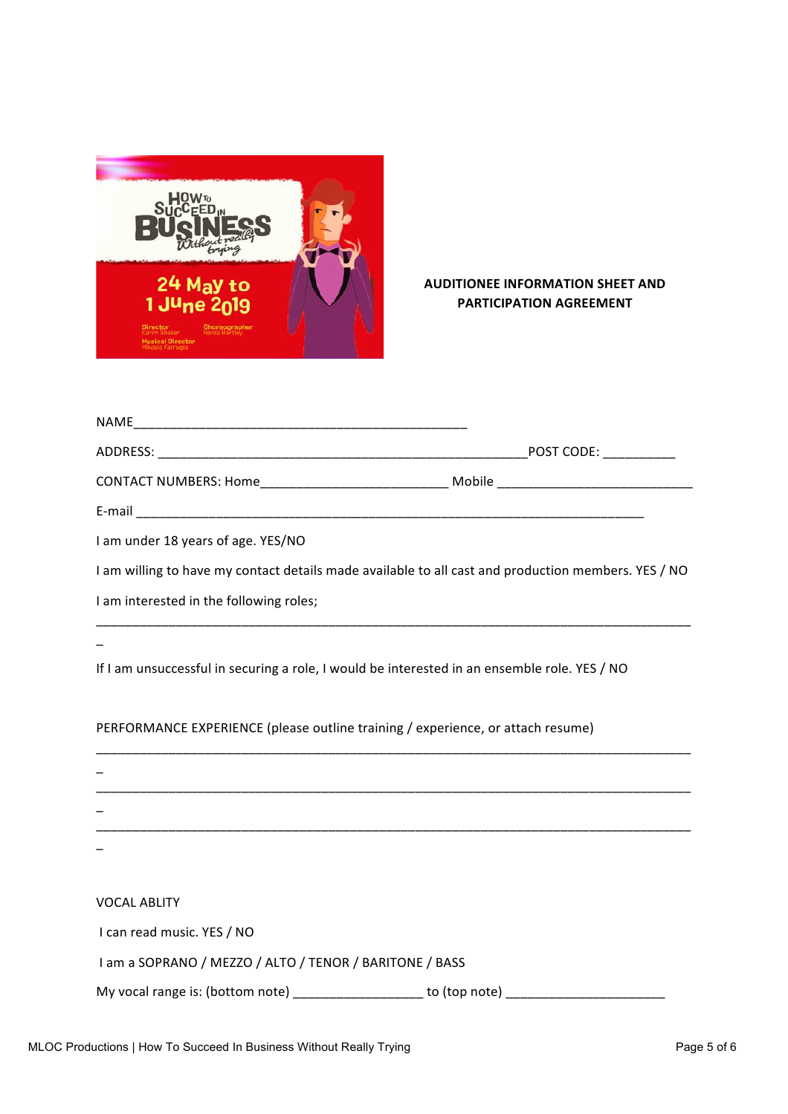

# **AUDITIONEE INFORMATION SHEET AND PARTICIPATION AGREEMENT**

| CONTACT NUMBERS: Home_______________________________ Mobile ____________________                                      |  |
|-----------------------------------------------------------------------------------------------------------------------|--|
|                                                                                                                       |  |
| I am under 18 years of age. YES/NO                                                                                    |  |
| I am willing to have my contact details made available to all cast and production members. YES / NO                   |  |
| I am interested in the following roles;                                                                               |  |
|                                                                                                                       |  |
| If I am unsuccessful in securing a role, I would be interested in an ensemble role. YES / NO                          |  |
| PERFORMANCE EXPERIENCE (please outline training / experience, or attach resume)                                       |  |
|                                                                                                                       |  |
| <u> 1989 - Johann Harry Harry Harry Harry Harry Harry Harry Harry Harry Harry Harry Harry Harry Harry Harry Harry</u> |  |
|                                                                                                                       |  |
|                                                                                                                       |  |
| <b>VOCAL ABLITY</b>                                                                                                   |  |
| I can read music. YES / NO                                                                                            |  |
| I am a SOPRANO / MEZZO / ALTO / TENOR / BARITONE / BASS                                                               |  |
|                                                                                                                       |  |